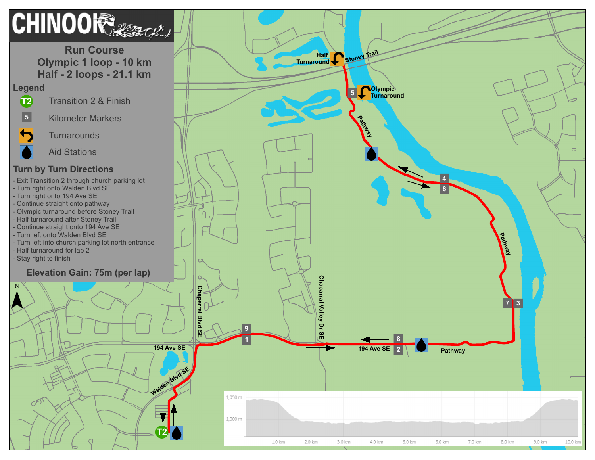